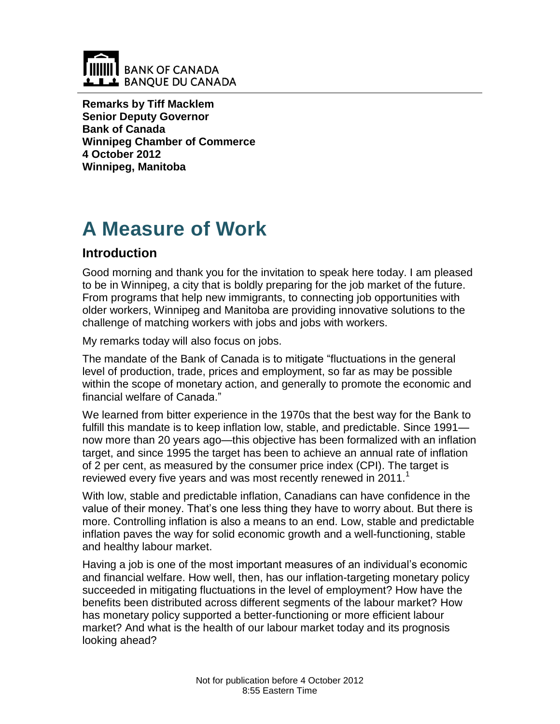

**Remarks by Tiff Macklem Senior Deputy Governor Bank of Canada Winnipeg Chamber of Commerce 4 October 2012 Winnipeg, Manitoba**

# **A Measure of Work**

## **Introduction**

Good morning and thank you for the invitation to speak here today. I am pleased to be in Winnipeg, a city that is boldly preparing for the job market of the future. From programs that help new immigrants, to connecting job opportunities with older workers, Winnipeg and Manitoba are providing innovative solutions to the challenge of matching workers with jobs and jobs with workers.

My remarks today will also focus on jobs.

The mandate of the Bank of Canada is to mitigate "fluctuations in the general level of production, trade, prices and employment, so far as may be possible within the scope of monetary action, and generally to promote the economic and financial welfare of Canada."

We learned from bitter experience in the 1970s that the best way for the Bank to fulfill this mandate is to keep inflation low, stable, and predictable. Since 1991 now more than 20 years ago—this objective has been formalized with an inflation target, and since 1995 the target has been to achieve an annual rate of inflation of 2 per cent, as measured by the consumer price index (CPI). The target is reviewed every five years and was most recently renewed in 2011. $<sup>1</sup>$ </sup>

With low, stable and predictable inflation, Canadians can have confidence in the value of their money. That's one less thing they have to worry about. But there is more. Controlling inflation is also a means to an end. Low, stable and predictable inflation paves the way for solid economic growth and a well-functioning, stable and healthy labour market.

Having a job is one of the most important measures of an individual's economic and financial welfare. How well, then, has our inflation-targeting monetary policy succeeded in mitigating fluctuations in the level of employment? How have the benefits been distributed across different segments of the labour market? How has monetary policy supported a better-functioning or more efficient labour market? And what is the health of our labour market today and its prognosis looking ahead?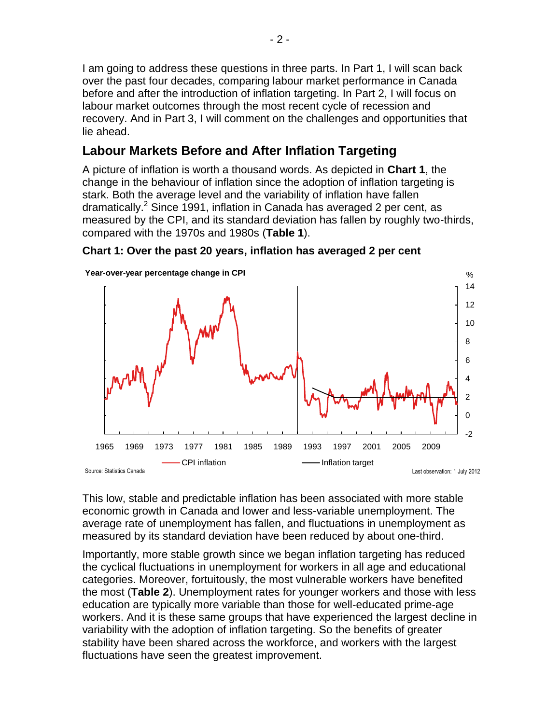I am going to address these questions in three parts. In Part 1, I will scan back over the past four decades, comparing labour market performance in Canada before and after the introduction of inflation targeting. In Part 2, I will focus on labour market outcomes through the most recent cycle of recession and recovery. And in Part 3, I will comment on the challenges and opportunities that lie ahead.

## **Labour Markets Before and After Inflation Targeting**

A picture of inflation is worth a thousand words. As depicted in **Chart 1**, the change in the behaviour of inflation since the adoption of inflation targeting is stark. Both the average level and the variability of inflation have fallen dramatically.<sup>2</sup> Since 1991, inflation in Canada has averaged 2 per cent, as measured by the CPI, and its standard deviation has fallen by roughly two-thirds, compared with the 1970s and 1980s (**Table 1**).



#### **Chart 1: Over the past 20 years, inflation has averaged 2 per cent**

This low, stable and predictable inflation has been associated with more stable economic growth in Canada and lower and less-variable unemployment. The average rate of unemployment has fallen, and fluctuations in unemployment as measured by its standard deviation have been reduced by about one-third.

Importantly, more stable growth since we began inflation targeting has reduced the cyclical fluctuations in unemployment for workers in all age and educational categories. Moreover, fortuitously, the most vulnerable workers have benefited the most (**Table 2**). Unemployment rates for younger workers and those with less education are typically more variable than those for well-educated prime-age workers. And it is these same groups that have experienced the largest decline in variability with the adoption of inflation targeting. So the benefits of greater stability have been shared across the workforce, and workers with the largest fluctuations have seen the greatest improvement.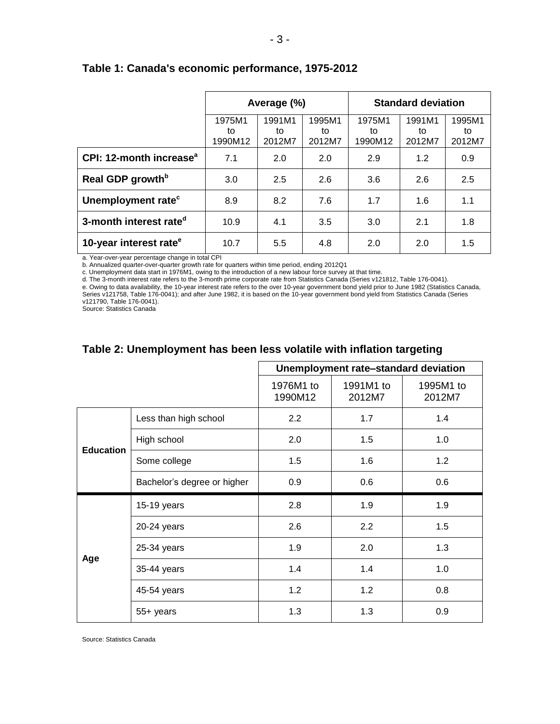|                                     | Average (%)             |                        |                        | <b>Standard deviation</b> |                        |                        |
|-------------------------------------|-------------------------|------------------------|------------------------|---------------------------|------------------------|------------------------|
|                                     | 1975M1<br>to<br>1990M12 | 1991M1<br>to<br>2012M7 | 1995M1<br>to<br>2012M7 | 1975M1<br>to<br>1990M12   | 1991M1<br>to<br>2012M7 | 1995M1<br>to<br>2012M7 |
| CPI: 12-month increase <sup>a</sup> | 7.1                     | 2.0                    | 2.0                    | 2.9                       | 1.2                    | 0.9                    |
| Real GDP growth <sup>b</sup>        | 3.0                     | 2.5                    | 2.6                    | 3.6                       | 2.6                    | 2.5                    |
| Unemployment rate <sup>c</sup>      | 8.9                     | 8.2                    | 7.6                    | 1.7                       | 1.6                    | 1.1                    |
| 3-month interest rate <sup>d</sup>  | 10.9                    | 4.1                    | 3.5                    | 3.0                       | 2.1                    | 1.8                    |
| 10-year interest rate <sup>e</sup>  | 10.7                    | 5.5                    | 4.8                    | 2.0                       | 2.0                    | 1.5                    |

#### **Table 1: Canada's economic performance, 1975-2012**

a. Year-over-year percentage change in total CPI

b. Annualized quarter-over-quarter growth rate for quarters within time period, ending 2012Q1

c. Unemployment data start in 1976M1, owing to the introduction of a new labour force survey at that time.

d. The 3-month interest rate refers to the 3-month prime corporate rate from Statistics Canada (Series v121812, Table 176-0041).

e. Owing to data availability, the 10-year interest rate refers to the over 10-year government bond yield prior to June 1982 (Statistics Canada, Series v121758, Table 176-0041); and after June 1982, it is based on the 10-year government bond yield from Statistics Canada (Series

v121790, Table 176-0041).

Source: Statistics Canada

#### **Table 2: Unemployment has been less volatile with inflation targeting**

|                  |                             | Unemployment rate-standard deviation |                     |                     |
|------------------|-----------------------------|--------------------------------------|---------------------|---------------------|
|                  |                             | 1976M1 to<br>1990M12                 | 1991M1 to<br>2012M7 | 1995M1 to<br>2012M7 |
| <b>Education</b> | Less than high school       | 2.2                                  | 1.7                 | 1.4                 |
|                  | High school                 | 2.0                                  | 1.5                 | 1.0                 |
|                  | Some college                | 1.5                                  | 1.6                 | 1.2                 |
|                  | Bachelor's degree or higher | 0.9                                  | 0.6                 | 0.6                 |
| Age              | 15-19 years                 | 2.8                                  | 1.9                 | 1.9                 |
|                  | 20-24 years                 | 2.6                                  | 2.2                 | 1.5                 |
|                  | 25-34 years                 | 1.9                                  | 2.0                 | 1.3                 |
|                  | 35-44 years                 | 1.4                                  | 1.4                 | 1.0                 |
|                  | 45-54 years                 | 1.2                                  | 1.2                 | 0.8                 |
|                  | 55+ years                   | 1.3                                  | 1.3                 | 0.9                 |

Source: Statistics Canada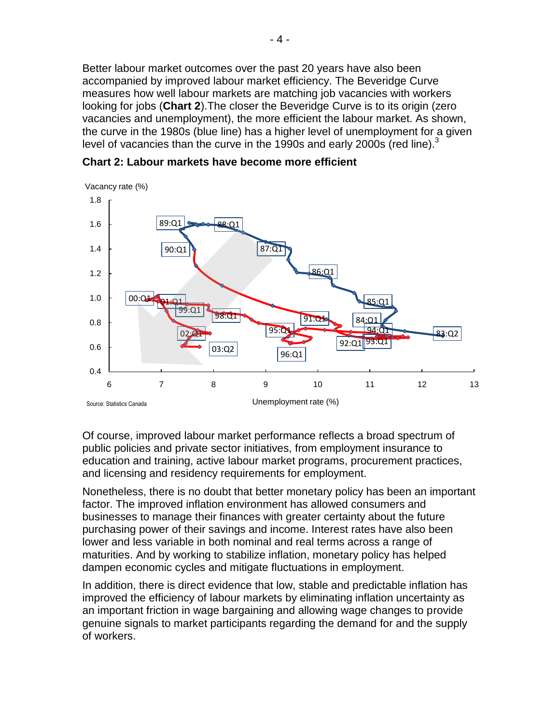Better labour market outcomes over the past 20 years have also been accompanied by improved labour market efficiency. The Beveridge Curve measures how well labour markets are matching job vacancies with workers looking for jobs (**Chart 2**).The closer the Beveridge Curve is to its origin (zero vacancies and unemployment), the more efficient the labour market. As shown, the curve in the 1980s (blue line) has a higher level of unemployment for a given level of vacancies than the curve in the 1990s and early 2000s (red line). $3$ 



**Chart 2: Labour markets have become more efficient** 

Of course, improved labour market performance reflects a broad spectrum of public policies and private sector initiatives, from employment insurance to education and training, active labour market programs, procurement practices, and licensing and residency requirements for employment.

Nonetheless, there is no doubt that better monetary policy has been an important factor. The improved inflation environment has allowed consumers and businesses to manage their finances with greater certainty about the future purchasing power of their savings and income. Interest rates have also been lower and less variable in both nominal and real terms across a range of maturities. And by working to stabilize inflation, monetary policy has helped dampen economic cycles and mitigate fluctuations in employment.

In addition, there is direct evidence that low, stable and predictable inflation has improved the efficiency of labour markets by eliminating inflation uncertainty as an important friction in wage bargaining and allowing wage changes to provide genuine signals to market participants regarding the demand for and the supply of workers.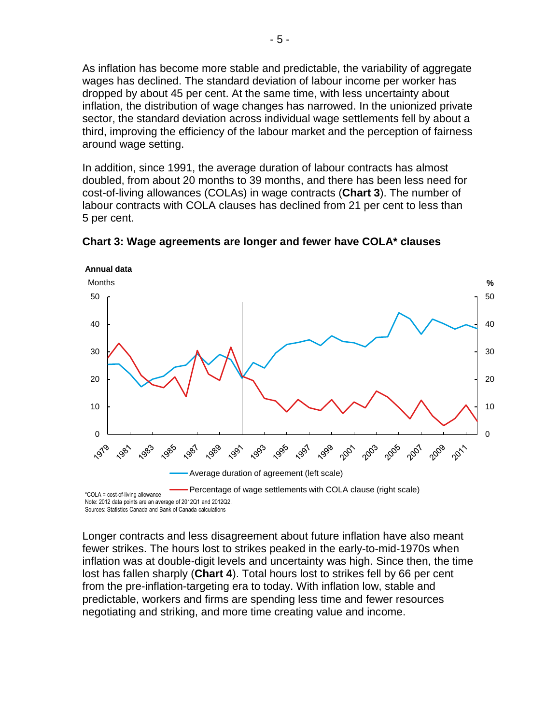As inflation has become more stable and predictable, the variability of aggregate wages has declined. The standard deviation of labour income per worker has dropped by about 45 per cent. At the same time, with less uncertainty about inflation, the distribution of wage changes has narrowed. In the unionized private sector, the standard deviation across individual wage settlements fell by about a third, improving the efficiency of the labour market and the perception of fairness around wage setting.

In addition, since 1991, the average duration of labour contracts has almost doubled, from about 20 months to 39 months, and there has been less need for cost-of-living allowances (COLAs) in wage contracts (**Chart 3**). The number of labour contracts with COLA clauses has declined from 21 per cent to less than 5 per cent.



**Chart 3: Wage agreements are longer and fewer have COLA\* clauses**

Longer contracts and less disagreement about future inflation have also meant fewer strikes. The hours lost to strikes peaked in the early-to-mid-1970s when inflation was at double-digit levels and uncertainty was high. Since then, the time lost has fallen sharply (**Chart 4**). Total hours lost to strikes fell by 66 per cent from the pre-inflation-targeting era to today. With inflation low, stable and predictable, workers and firms are spending less time and fewer resources negotiating and striking, and more time creating value and income.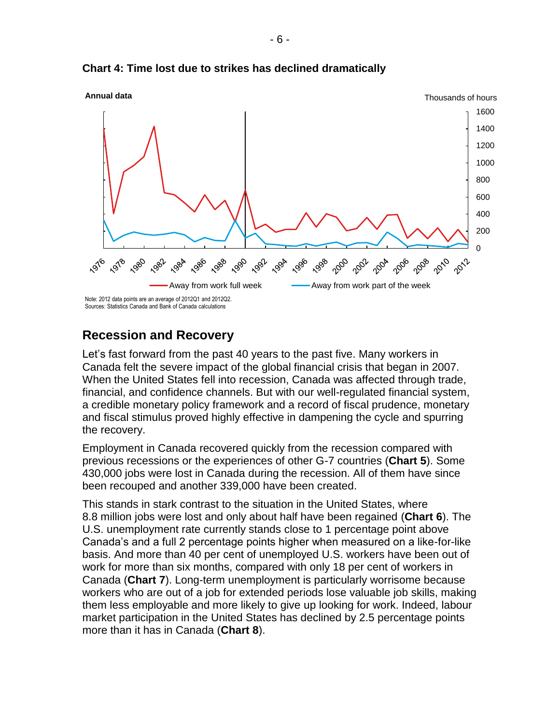

**Chart 4: Time lost due to strikes has declined dramatically**

## **Recession and Recovery**

Let's fast forward from the past 40 years to the past five. Many workers in Canada felt the severe impact of the global financial crisis that began in 2007. When the United States fell into recession, Canada was affected through trade, financial, and confidence channels. But with our well-regulated financial system, a credible monetary policy framework and a record of fiscal prudence, monetary and fiscal stimulus proved highly effective in dampening the cycle and spurring the recovery.

Employment in Canada recovered quickly from the recession compared with previous recessions or the experiences of other G-7 countries (**Chart 5**). Some 430,000 jobs were lost in Canada during the recession. All of them have since been recouped and another 339,000 have been created.

This stands in stark contrast to the situation in the United States, where 8.8 million jobs were lost and only about half have been regained (**Chart 6**). The U.S. unemployment rate currently stands close to 1 percentage point above Canada's and a full 2 percentage points higher when measured on a like-for-like basis. And more than 40 per cent of unemployed U.S. workers have been out of work for more than six months, compared with only 18 per cent of workers in Canada (**Chart 7**). Long-term unemployment is particularly worrisome because workers who are out of a job for extended periods lose valuable job skills, making them less employable and more likely to give up looking for work. Indeed, labour market participation in the United States has declined by 2.5 percentage points more than it has in Canada (**Chart 8**).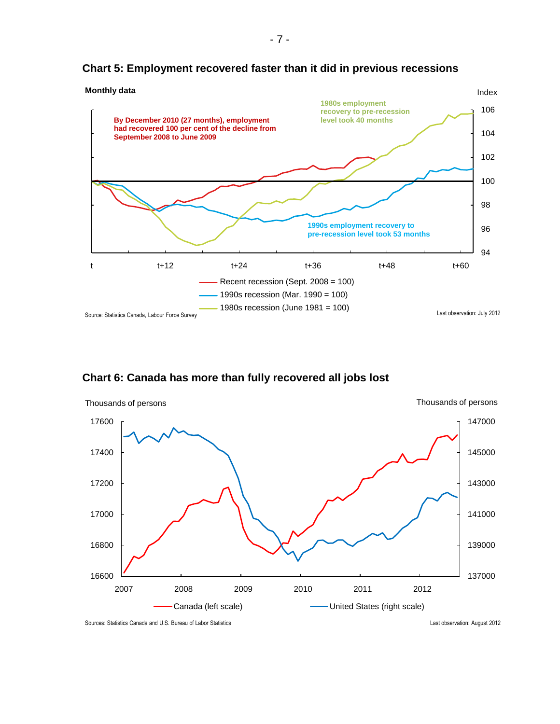

#### **Chart 5: Employment recovered faster than it did in previous recessions**

**Chart 6: Canada has more than fully recovered all jobs lost**



Sources: Statistics Canada and U.S. Bureau of Labor Statistics Last observation: August 2012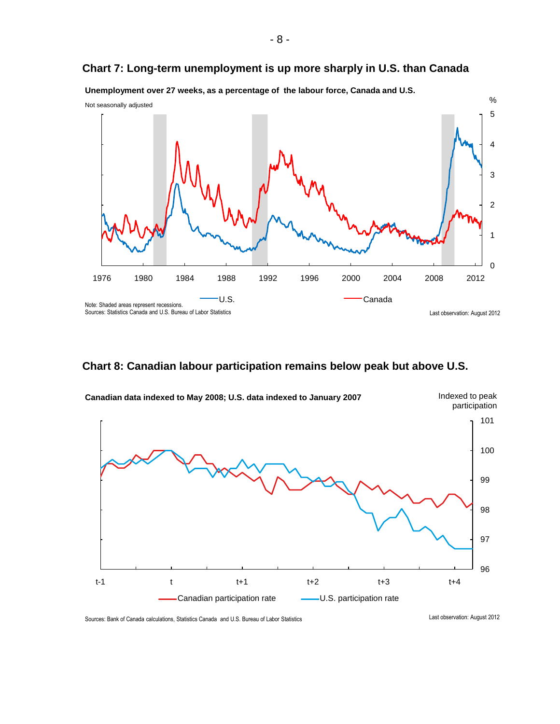



**Unemployment over 27 weeks, as a percentage of the labour force, Canada and U.S.**

#### **Chart 8: Canadian labour participation remains below peak but above U.S.**



Sources: Bank of Canada calculations, Statistics Canada and U.S. Bureau of Labor Statistics Canada and U.S. Bureau of Labor Statistics Canada canada canada canada canada canada canada canada canada canada canada canada can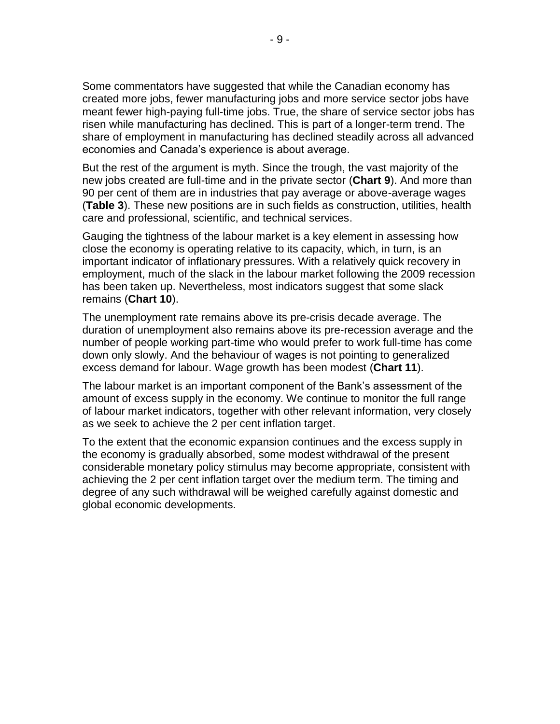Some commentators have suggested that while the Canadian economy has created more jobs, fewer manufacturing jobs and more service sector jobs have meant fewer high-paying full-time jobs. True, the share of service sector jobs has risen while manufacturing has declined. This is part of a longer-term trend. The share of employment in manufacturing has declined steadily across all advanced economies and Canada's experience is about average.

But the rest of the argument is myth. Since the trough, the vast majority of the new jobs created are full-time and in the private sector (**Chart 9**). And more than 90 per cent of them are in industries that pay average or above-average wages (**Table 3**). These new positions are in such fields as construction, utilities, health care and professional, scientific, and technical services.

Gauging the tightness of the labour market is a key element in assessing how close the economy is operating relative to its capacity, which, in turn, is an important indicator of inflationary pressures. With a relatively quick recovery in employment, much of the slack in the labour market following the 2009 recession has been taken up. Nevertheless, most indicators suggest that some slack remains (**Chart 10**).

The unemployment rate remains above its pre-crisis decade average. The duration of unemployment also remains above its pre-recession average and the number of people working part-time who would prefer to work full-time has come down only slowly. And the behaviour of wages is not pointing to generalized excess demand for labour. Wage growth has been modest (**Chart 11**).

The labour market is an important component of the Bank's assessment of the amount of excess supply in the economy. We continue to monitor the full range of labour market indicators, together with other relevant information, very closely as we seek to achieve the 2 per cent inflation target.

To the extent that the economic expansion continues and the excess supply in the economy is gradually absorbed, some modest withdrawal of the present considerable monetary policy stimulus may become appropriate, consistent with achieving the 2 per cent inflation target over the medium term. The timing and degree of any such withdrawal will be weighed carefully against domestic and global economic developments.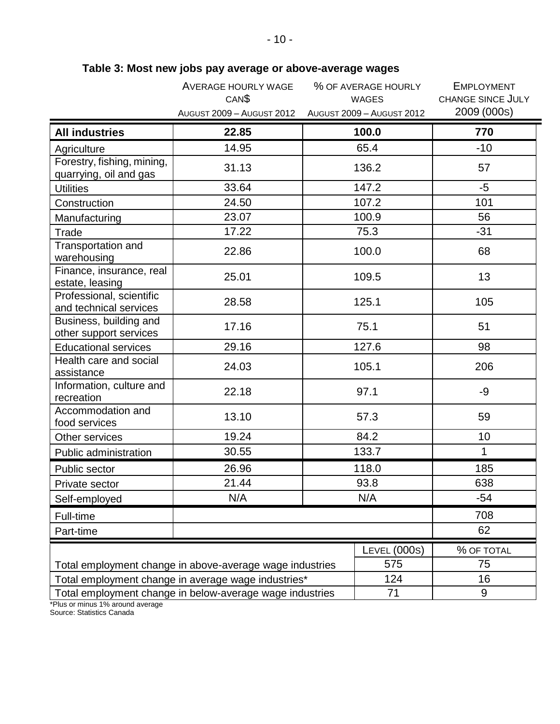|                                                          | <b>AVERAGE HOURLY WAGE</b><br>CAN <sup>\$</sup> | % OF AVERAGE HOURLY<br><b>WAGES</b> | <b>EMPLOYMENT</b><br><b>CHANGE SINCE JULY</b> |  |
|----------------------------------------------------------|-------------------------------------------------|-------------------------------------|-----------------------------------------------|--|
|                                                          | <b>AUGUST 2009 - AUGUST 2012</b>                | AUGUST 2009 - AUGUST 2012           | 2009 (000s)                                   |  |
| <b>All industries</b>                                    | 22.85                                           | 100.0                               | 770                                           |  |
| Agriculture                                              | 14.95                                           | 65.4                                | $-10$                                         |  |
| Forestry, fishing, mining,<br>quarrying, oil and gas     | 31.13                                           | 136.2                               | 57                                            |  |
| <b>Utilities</b>                                         | 33.64                                           | 147.2                               | $-5$                                          |  |
| Construction                                             | 24.50                                           | 107.2                               | 101                                           |  |
| Manufacturing                                            | 23.07                                           | 100.9                               | 56                                            |  |
| Trade                                                    | 17.22                                           | 75.3                                | $-31$                                         |  |
| Transportation and<br>warehousing                        | 22.86                                           | 100.0                               | 68                                            |  |
| Finance, insurance, real<br>estate, leasing              | 25.01                                           | 109.5                               | 13                                            |  |
| Professional, scientific<br>and technical services       | 28.58                                           | 125.1                               | 105                                           |  |
| Business, building and<br>other support services         | 17.16                                           | 75.1                                | 51                                            |  |
| <b>Educational services</b>                              | 29.16                                           | 127.6                               | 98                                            |  |
| Health care and social<br>assistance                     | 24.03                                           | 105.1                               | 206                                           |  |
| Information, culture and<br>recreation                   | 22.18                                           | 97.1                                | -9                                            |  |
| Accommodation and<br>food services                       | 13.10                                           | 57.3                                | 59                                            |  |
| Other services                                           | 19.24                                           | 84.2                                | 10                                            |  |
| Public administration                                    | 30.55                                           | 133.7                               | $\mathbf{1}$                                  |  |
| Public sector                                            | 26.96                                           | 118.0                               | 185                                           |  |
| Private sector                                           | 21.44                                           | 93.8                                | 638                                           |  |
| Self-employed                                            | N/A                                             | N/A                                 | $-54$                                         |  |
| Full-time                                                |                                                 |                                     | 708                                           |  |
| Part-time                                                |                                                 | 62                                  |                                               |  |
|                                                          |                                                 | <b>LEVEL (000S)</b>                 | % OF TOTAL                                    |  |
| Total employment change in above-average wage industries | 75                                              |                                     |                                               |  |
| Total employment change in average wage industries*      | 16                                              |                                     |                                               |  |
| Total employment change in below-average wage industries | 9                                               |                                     |                                               |  |

## **Table 3: Most new jobs pay average or above-average wages**

\*Plus or minus 1% around average

Source: Statistics Canada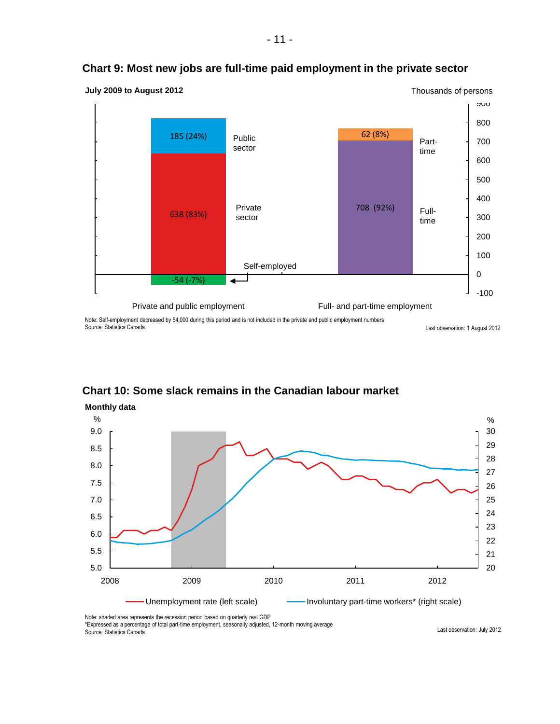

#### **Chart 9: Most new jobs are full-time paid employment in the private sector**

Note: Self-employment decreased by 54,000 during this period and is not included in the private and public employment numbers Source: Statistics Canada

Last observation: 1 August 2012

#### 20 21 22 23 24 25 26 27 28 29 30 5.0 5.5 6.0 6.5 7.0 7.5 8.0 8.5 9.0 2008 2009 2010 2011 2012  $\%$  % and the set of the set of the set of the set of the set of the set of the set of the set of the set of the set of the set of the set of the set of the set of the set of the set of the set of the set of the set of t Unemployment rate (left scale) **Involuntary part-time workers\*** (right scale) **Monthly data**

#### **Chart 10: Some slack remains in the Canadian labour market**

Note: shaded area represents the recession period based on quarterly real GDP

\*Expressed as a percentage of total part-time employment, seasonally adjusted, 12-month moving average

Source: Statistics Canada

Last observation: July 2012

- 11 -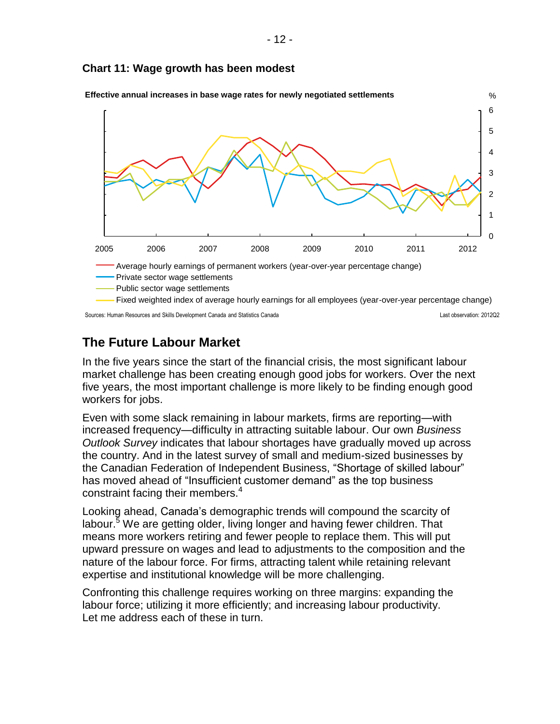#### **Chart 11: Wage growth has been modest**



**Effective annual increases in base wage rates for newly negotiated settlements**

Sources: Human Resources and Skills Development Canada and Statistics Canada Last observation: 2012Q2

## **The Future Labour Market**

In the five years since the start of the financial crisis, the most significant labour market challenge has been creating enough good jobs for workers. Over the next five years, the most important challenge is more likely to be finding enough good workers for jobs.

Even with some slack remaining in labour markets, firms are reporting—with increased frequency—difficulty in attracting suitable labour. Our own *Business Outlook Survey* indicates that labour shortages have gradually moved up across the country. And in the latest survey of small and medium-sized businesses by the Canadian Federation of Independent Business, "Shortage of skilled labour" has moved ahead of "Insufficient customer demand" as the top business constraint facing their members.<sup>4</sup>

Looking ahead, Canada's demographic trends will compound the scarcity of labour.<sup>5</sup> We are getting older, living longer and having fewer children. That means more workers retiring and fewer people to replace them. This will put upward pressure on wages and lead to adjustments to the composition and the nature of the labour force. For firms, attracting talent while retaining relevant expertise and institutional knowledge will be more challenging.

Confronting this challenge requires working on three margins: expanding the labour force; utilizing it more efficiently; and increasing labour productivity. Let me address each of these in turn.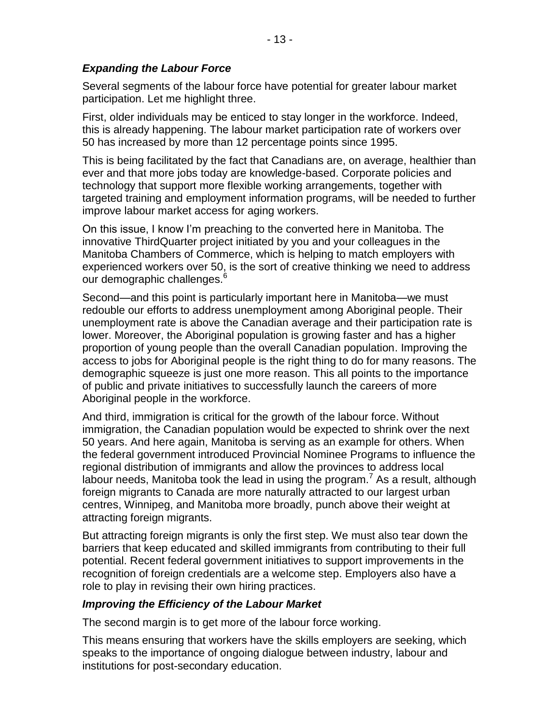Several segments of the labour force have potential for greater labour market participation. Let me highlight three.

First, older individuals may be enticed to stay longer in the workforce. Indeed, this is already happening. The labour market participation rate of workers over 50 has increased by more than 12 percentage points since 1995.

This is being facilitated by the fact that Canadians are, on average, healthier than ever and that more jobs today are knowledge-based. Corporate policies and technology that support more flexible working arrangements, together with targeted training and employment information programs, will be needed to further improve labour market access for aging workers.

On this issue, I know I'm preaching to the converted here in Manitoba. The innovative ThirdQuarter project initiated by you and your colleagues in the Manitoba Chambers of Commerce, which is helping to match employers with experienced workers over 50, is the sort of creative thinking we need to address our demographic challenges.<sup>6</sup>

Second—and this point is particularly important here in Manitoba—we must redouble our efforts to address unemployment among Aboriginal people. Their unemployment rate is above the Canadian average and their participation rate is lower. Moreover, the Aboriginal population is growing faster and has a higher proportion of young people than the overall Canadian population. Improving the access to jobs for Aboriginal people is the right thing to do for many reasons. The demographic squeeze is just one more reason. This all points to the importance of public and private initiatives to successfully launch the careers of more Aboriginal people in the workforce.

And third, immigration is critical for the growth of the labour force. Without immigration, the Canadian population would be expected to shrink over the next 50 years. And here again, Manitoba is serving as an example for others. When the federal government introduced Provincial Nominee Programs to influence the regional distribution of immigrants and allow the provinces to address local labour needs, Manitoba took the lead in using the program.<sup>7</sup> As a result, although foreign migrants to Canada are more naturally attracted to our largest urban centres, Winnipeg, and Manitoba more broadly, punch above their weight at attracting foreign migrants.

But attracting foreign migrants is only the first step. We must also tear down the barriers that keep educated and skilled immigrants from contributing to their full potential. Recent federal government initiatives to support improvements in the recognition of foreign credentials are a welcome step. Employers also have a role to play in revising their own hiring practices.

#### *Improving the Efficiency of the Labour Market*

The second margin is to get more of the labour force working.

This means ensuring that workers have the skills employers are seeking, which speaks to the importance of ongoing dialogue between industry, labour and institutions for post-secondary education.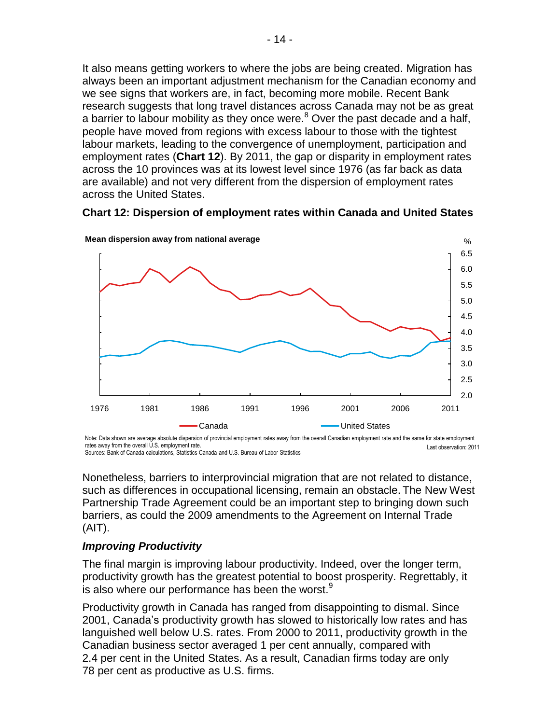It also means getting workers to where the jobs are being created. Migration has always been an important adjustment mechanism for the Canadian economy and we see signs that workers are, in fact, becoming more mobile. Recent Bank research suggests that long travel distances across Canada may not be as great a barrier to labour mobility as they once were. $8$  Over the past decade and a half, people have moved from regions with excess labour to those with the tightest labour markets, leading to the convergence of unemployment, participation and employment rates (**Chart 12**). By 2011, the gap or disparity in employment rates across the 10 provinces was at its lowest level since 1976 (as far back as data are available) and not very different from the dispersion of employment rates across the United States.

#### **Chart 12: Dispersion of employment rates within Canada and United States**



**Mean dispersion away from national average**

Last observation: 2011 Note: Data shown are average absolute dispersion of provincial employment rates away from the overall Canadian employment rate and the same for state employment rates away from the overall U.S. employment rate. Sources: Bank of Canada calculations, Statistics Canada and U.S. Bureau of Labor Statistics

Nonetheless, barriers to interprovincial migration that are not related to distance, such as differences in occupational licensing, remain an obstacle. The New West Partnership Trade Agreement could be an important step to bringing down such barriers, as could the 2009 amendments to the Agreement on Internal Trade (AIT).

#### *Improving Productivity*

The final margin is improving labour productivity. Indeed, over the longer term, productivity growth has the greatest potential to boost prosperity. Regrettably, it is also where our performance has been the worst. $9$ 

Productivity growth in Canada has ranged from disappointing to dismal. Since 2001, Canada's productivity growth has slowed to historically low rates and has languished well below U.S. rates. From 2000 to 2011, productivity growth in the Canadian business sector averaged 1 per cent annually, compared with 2.4 per cent in the United States. As a result, Canadian firms today are only 78 per cent as productive as U.S. firms.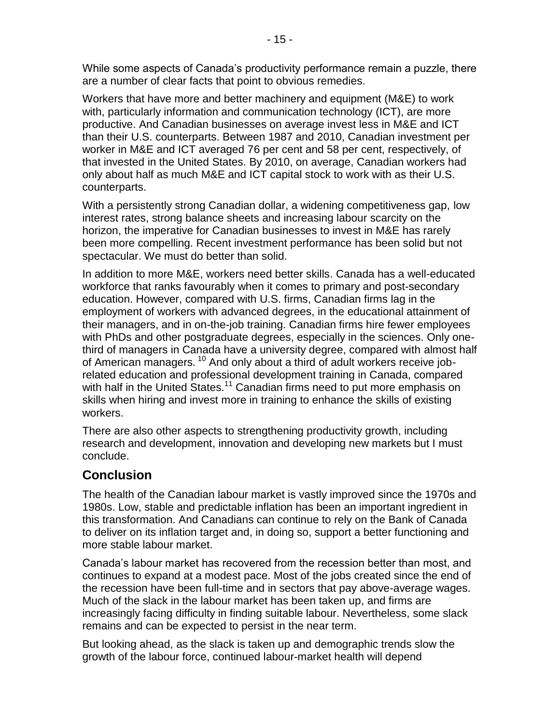While some aspects of Canada's productivity performance remain a puzzle, there are a number of clear facts that point to obvious remedies.

Workers that have more and better machinery and equipment (M&E) to work with, particularly information and communication technology (ICT), are more productive. And Canadian businesses on average invest less in M&E and ICT than their U.S. counterparts. Between 1987 and 2010, Canadian investment per worker in M&E and ICT averaged 76 per cent and 58 per cent, respectively, of that invested in the United States. By 2010, on average, Canadian workers had only about half as much M&E and ICT capital stock to work with as their U.S. counterparts.

With a persistently strong Canadian dollar, a widening competitiveness gap, low interest rates, strong balance sheets and increasing labour scarcity on the horizon, the imperative for Canadian businesses to invest in M&E has rarely been more compelling. Recent investment performance has been solid but not spectacular. We must do better than solid.

In addition to more M&E, workers need better skills. Canada has a well-educated workforce that ranks favourably when it comes to primary and post-secondary education. However, compared with U.S. firms, Canadian firms lag in the employment of workers with advanced degrees, in the educational attainment of their managers, and in on-the-job training. Canadian firms hire fewer employees with PhDs and other postgraduate degrees, especially in the sciences. Only onethird of managers in Canada have a university degree, compared with almost half of American managers.<sup>10</sup> And only about a third of adult workers receive jobrelated education and professional development training in Canada, compared with half in the United States.<sup>11</sup> Canadian firms need to put more emphasis on skills when hiring and invest more in training to enhance the skills of existing workers.

There are also other aspects to strengthening productivity growth, including research and development, innovation and developing new markets but I must conclude.

## **Conclusion**

The health of the Canadian labour market is vastly improved since the 1970s and 1980s. Low, stable and predictable inflation has been an important ingredient in this transformation. And Canadians can continue to rely on the Bank of Canada to deliver on its inflation target and, in doing so, support a better functioning and more stable labour market.

Canada's labour market has recovered from the recession better than most, and continues to expand at a modest pace. Most of the jobs created since the end of the recession have been full-time and in sectors that pay above-average wages. Much of the slack in the labour market has been taken up, and firms are increasingly facing difficulty in finding suitable labour. Nevertheless, some slack remains and can be expected to persist in the near term.

But looking ahead, as the slack is taken up and demographic trends slow the growth of the labour force, continued labour-market health will depend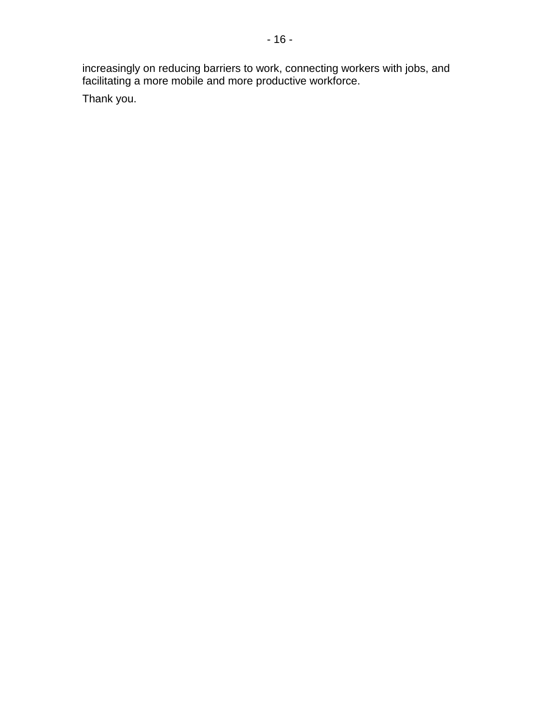increasingly on reducing barriers to work, connecting workers with jobs, and facilitating a more mobile and more productive workforce.

Thank you.